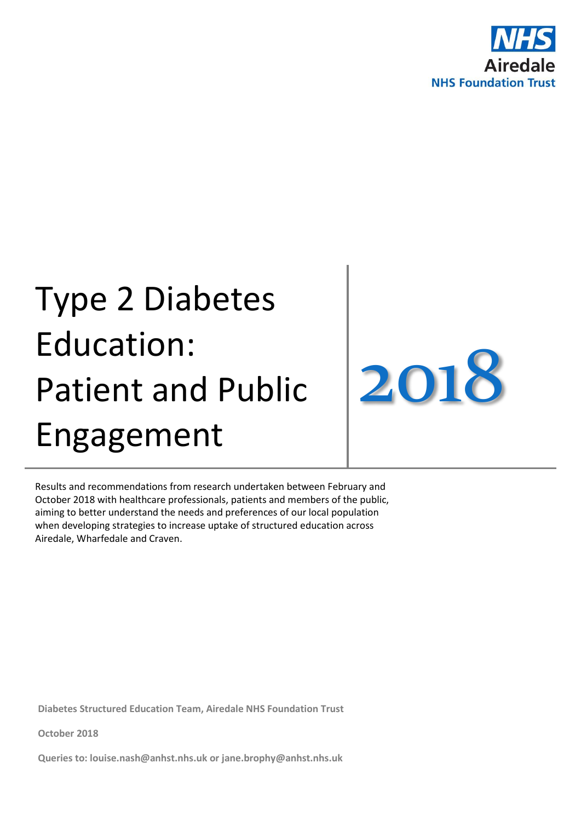

# Type 2 Diabetes Education: Patient and Public Engagement

2018

Results and recommendations from research undertaken between February and October 2018 with healthcare professionals, patients and members of the public, aiming to better understand the needs and preferences of our local population when developing strategies to increase uptake of structured education across Airedale, Wharfedale and Craven.

**Diabetes Structured Education Team, Airedale NHS Foundation Trust**

**October 2018**

**Queries to: [louise.nash@anhst.nhs.uk](mailto:louise.nash@anhst.nhs.uk) or jane.brophy@anhst.nhs.uk**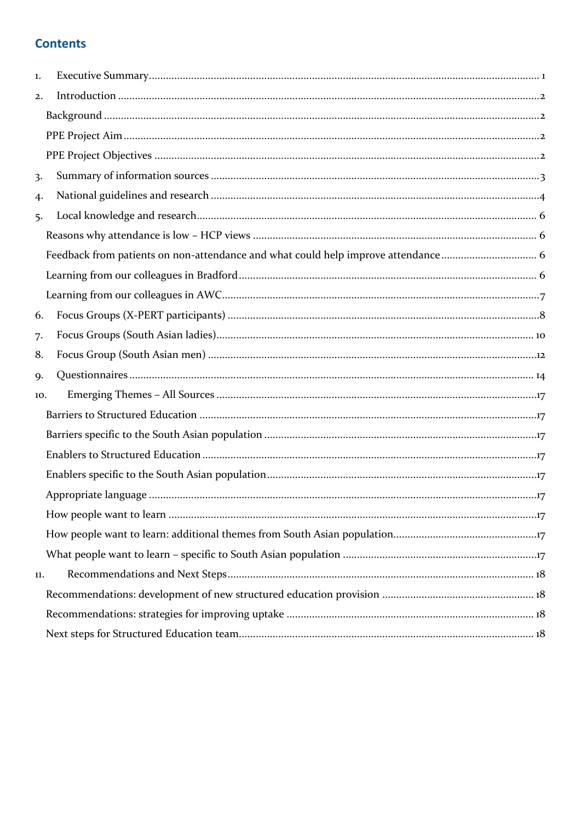# **Contents**

| 1.  |  |
|-----|--|
| 2.  |  |
|     |  |
|     |  |
|     |  |
| 3.  |  |
| 4.  |  |
| 5.  |  |
|     |  |
|     |  |
|     |  |
|     |  |
| 6.  |  |
| 7.  |  |
| 8.  |  |
| 9.  |  |
| 10. |  |
|     |  |
|     |  |
|     |  |
|     |  |
|     |  |
|     |  |
|     |  |
|     |  |
| 11. |  |
|     |  |
|     |  |
|     |  |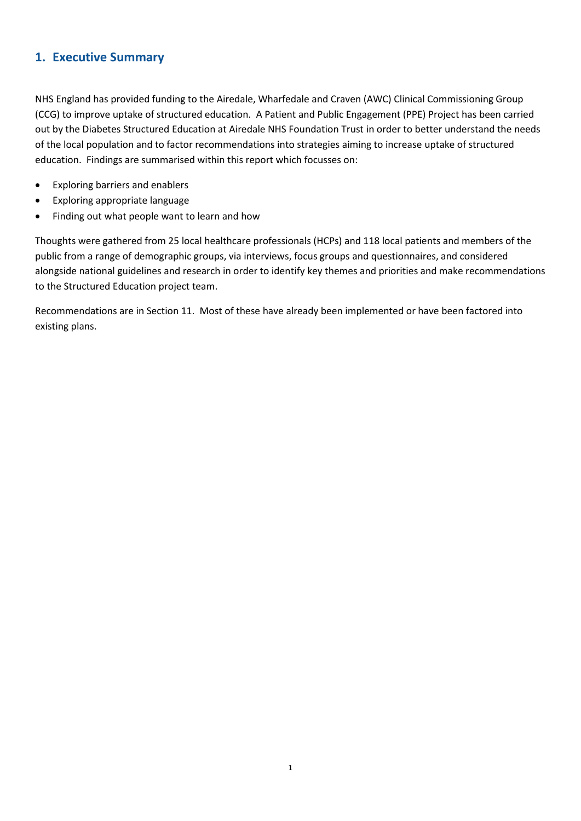# <span id="page-2-0"></span>**1. Executive Summary**

NHS England has provided funding to the Airedale, Wharfedale and Craven (AWC) Clinical Commissioning Group (CCG) to improve uptake of structured education. A Patient and Public Engagement (PPE) Project has been carried out by the Diabetes Structured Education at Airedale NHS Foundation Trust in order to better understand the needs of the local population and to factor recommendations into strategies aiming to increase uptake of structured education. Findings are summarised within this report which focusses on:

- Exploring barriers and enablers
- Exploring appropriate language
- Finding out what people want to learn and how

Thoughts were gathered from 25 local healthcare professionals (HCPs) and 118 local patients and members of the public from a range of demographic groups, via interviews, focus groups and questionnaires, and considered alongside national guidelines and research in order to identify key themes and priorities and make recommendations to the Structured Education project team.

Recommendations are in Section 11. Most of these have already been implemented or have been factored into existing plans.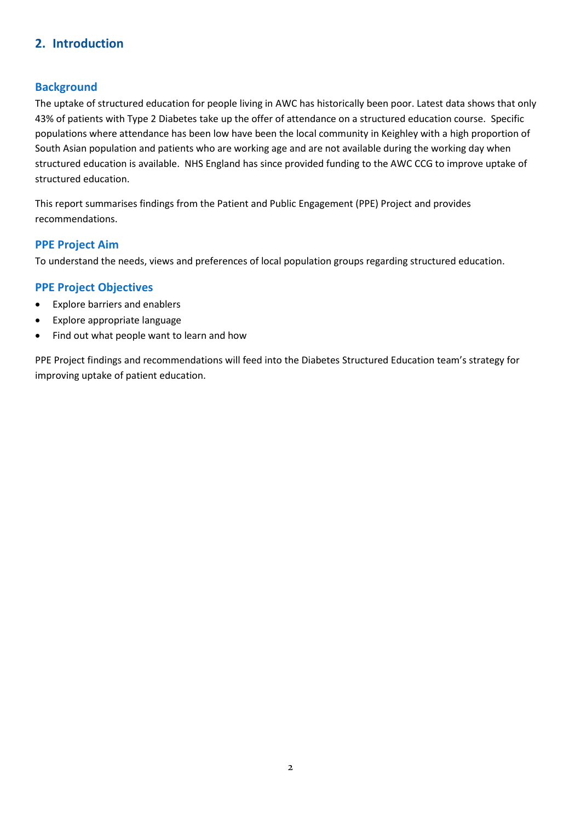# <span id="page-3-0"></span>**2. Introduction**

#### <span id="page-3-1"></span>**Background**

The uptake of structured education for people living in AWC has historically been poor. Latest data shows that only 43% of patients with Type 2 Diabetes take up the offer of attendance on a structured education course. Specific populations where attendance has been low have been the local community in Keighley with a high proportion of South Asian population and patients who are working age and are not available during the working day when structured education is available. NHS England has since provided funding to the AWC CCG to improve uptake of structured education.

This report summarises findings from the Patient and Public Engagement (PPE) Project and provides recommendations.

#### <span id="page-3-2"></span>**PPE Project Aim**

To understand the needs, views and preferences of local population groups regarding structured education.

#### <span id="page-3-3"></span>**PPE Project Objectives**

- Explore barriers and enablers
- Explore appropriate language
- Find out what people want to learn and how

PPE Project findings and recommendations will feed into the Diabetes Structured Education team's strategy for improving uptake of patient education.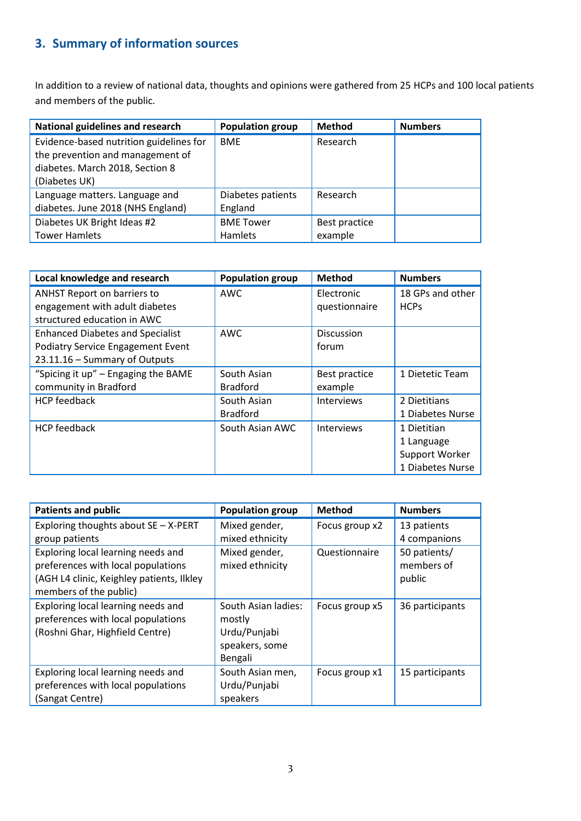# <span id="page-4-0"></span>**3. Summary of information sources**

In addition to a review of national data, thoughts and opinions were gathered from 25 HCPs and 100 local patients and members of the public.

| <b>National guidelines and research</b> | <b>Population group</b> | <b>Method</b> | <b>Numbers</b> |
|-----------------------------------------|-------------------------|---------------|----------------|
| Evidence-based nutrition guidelines for | <b>BME</b>              | Research      |                |
| the prevention and management of        |                         |               |                |
| diabetes. March 2018, Section 8         |                         |               |                |
| (Diabetes UK)                           |                         |               |                |
| Language matters. Language and          | Diabetes patients       | Research      |                |
| diabetes. June 2018 (NHS England)       | England                 |               |                |
| Diabetes UK Bright Ideas #2             | <b>BME Tower</b>        | Best practice |                |
| <b>Tower Hamlets</b>                    | Hamlets                 | example       |                |

| Local knowledge and research            | <b>Population group</b> | <b>Method</b>     | <b>Numbers</b>   |
|-----------------------------------------|-------------------------|-------------------|------------------|
| <b>ANHST Report on barriers to</b>      | <b>AWC</b>              | Electronic        | 18 GPs and other |
| engagement with adult diabetes          |                         | questionnaire     | <b>HCPs</b>      |
| structured education in AWC             |                         |                   |                  |
| <b>Enhanced Diabetes and Specialist</b> | <b>AWC</b>              | <b>Discussion</b> |                  |
| Podiatry Service Engagement Event       |                         | forum             |                  |
| 23.11.16 - Summary of Outputs           |                         |                   |                  |
| "Spicing it up" - Engaging the BAME     | South Asian             | Best practice     | 1 Dietetic Team  |
| community in Bradford                   | <b>Bradford</b>         | example           |                  |
| <b>HCP</b> feedback                     | South Asian             | <b>Interviews</b> | 2 Dietitians     |
|                                         | <b>Bradford</b>         |                   | 1 Diabetes Nurse |
| <b>HCP</b> feedback                     | South Asian AWC         | <b>Interviews</b> | 1 Dietitian      |
|                                         |                         |                   | 1 Language       |
|                                         |                         |                   | Support Worker   |
|                                         |                         |                   | 1 Diabetes Nurse |

| <b>Patients and public</b>                                                                                                                      | <b>Population group</b>                                                    | <b>Method</b>  | <b>Numbers</b>                       |
|-------------------------------------------------------------------------------------------------------------------------------------------------|----------------------------------------------------------------------------|----------------|--------------------------------------|
| Exploring thoughts about SE - X-PERT                                                                                                            | Mixed gender,                                                              | Focus group x2 | 13 patients                          |
| group patients                                                                                                                                  | mixed ethnicity                                                            |                | 4 companions                         |
| Exploring local learning needs and<br>preferences with local populations<br>(AGH L4 clinic, Keighley patients, Ilkley<br>members of the public) | Mixed gender,<br>mixed ethnicity                                           | Questionnaire  | 50 patients/<br>members of<br>public |
| Exploring local learning needs and<br>preferences with local populations<br>(Roshni Ghar, Highfield Centre)                                     | South Asian ladies:<br>mostly<br>Urdu/Punjabi<br>speakers, some<br>Bengali | Focus group x5 | 36 participants                      |
| Exploring local learning needs and<br>preferences with local populations<br>(Sangat Centre)                                                     | South Asian men,<br>Urdu/Punjabi<br>speakers                               | Focus group x1 | 15 participants                      |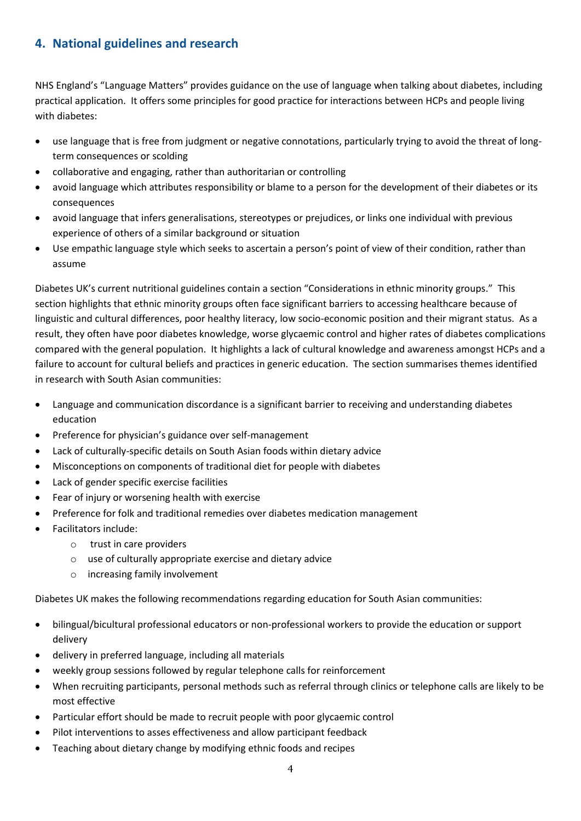# <span id="page-5-0"></span>**4. National guidelines and research**

NHS England's "Language Matters" provides guidance on the use of language when talking about diabetes, including practical application. It offers some principles for good practice for interactions between HCPs and people living with diabetes:

- use language that is free from judgment or negative connotations, particularly trying to avoid the threat of longterm consequences or scolding
- collaborative and engaging, rather than authoritarian or controlling
- avoid language which attributes responsibility or blame to a person for the development of their diabetes or its consequences
- avoid language that infers generalisations, stereotypes or prejudices, or links one individual with previous experience of others of a similar background or situation
- Use empathic language style which seeks to ascertain a person's point of view of their condition, rather than assume

Diabetes UK's current nutritional guidelines contain a section "Considerations in ethnic minority groups." This section highlights that ethnic minority groups often face significant barriers to accessing healthcare because of linguistic and cultural differences, poor healthy literacy, low socio-economic position and their migrant status. As a result, they often have poor diabetes knowledge, worse glycaemic control and higher rates of diabetes complications compared with the general population. It highlights a lack of cultural knowledge and awareness amongst HCPs and a failure to account for cultural beliefs and practices in generic education. The section summarises themes identified in research with South Asian communities:

- Language and communication discordance is a significant barrier to receiving and understanding diabetes education
- Preference for physician's guidance over self-management
- Lack of culturally-specific details on South Asian foods within dietary advice
- Misconceptions on components of traditional diet for people with diabetes
- Lack of gender specific exercise facilities
- Fear of injury or worsening health with exercise
- Preference for folk and traditional remedies over diabetes medication management
- Facilitators include:
	- o trust in care providers
	- o use of culturally appropriate exercise and dietary advice
	- o increasing family involvement

Diabetes UK makes the following recommendations regarding education for South Asian communities:

- bilingual/bicultural professional educators or non-professional workers to provide the education or support delivery
- delivery in preferred language, including all materials
- weekly group sessions followed by regular telephone calls for reinforcement
- When recruiting participants, personal methods such as referral through clinics or telephone calls are likely to be most effective
- Particular effort should be made to recruit people with poor glycaemic control
- Pilot interventions to asses effectiveness and allow participant feedback
- Teaching about dietary change by modifying ethnic foods and recipes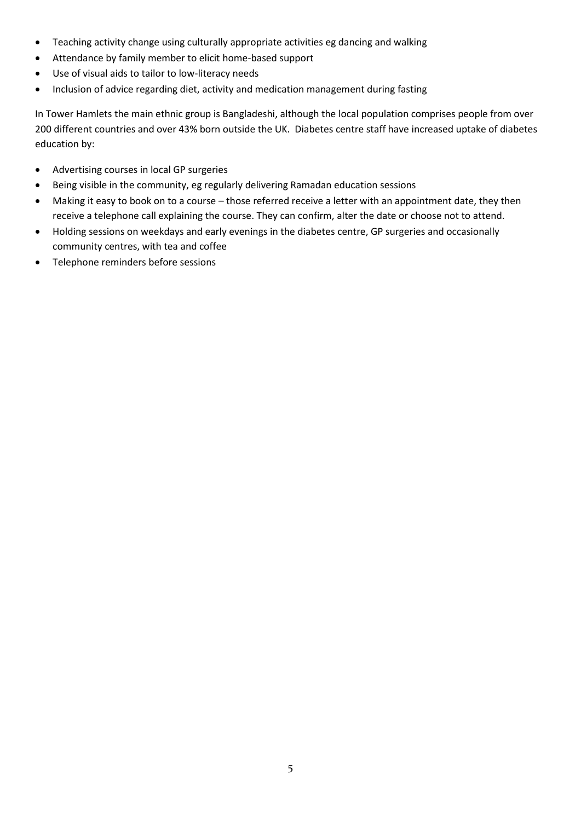- Teaching activity change using culturally appropriate activities eg dancing and walking
- Attendance by family member to elicit home-based support
- Use of visual aids to tailor to low-literacy needs
- Inclusion of advice regarding diet, activity and medication management during fasting

In Tower Hamlets the main ethnic group is Bangladeshi, although the local population comprises people from over 200 different countries and over 43% born outside the UK. Diabetes centre staff have increased uptake of diabetes education by:

- Advertising courses in local GP surgeries
- Being visible in the community, eg regularly delivering Ramadan education sessions
- Making it easy to book on to a course those referred receive a letter with an appointment date, they then receive a telephone call explaining the course. They can confirm, alter the date or choose not to attend.
- Holding sessions on weekdays and early evenings in the diabetes centre, GP surgeries and occasionally community centres, with tea and coffee
- Telephone reminders before sessions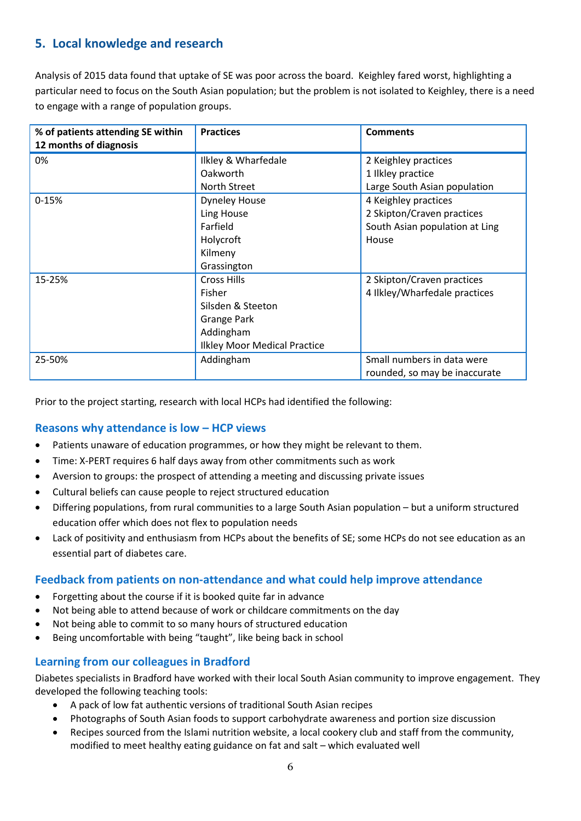# <span id="page-7-0"></span>**5. Local knowledge and research**

Analysis of 2015 data found that uptake of SE was poor across the board. Keighley fared worst, highlighting a particular need to focus on the South Asian population; but the problem is not isolated to Keighley, there is a need to engage with a range of population groups.

| % of patients attending SE within<br>12 months of diagnosis | <b>Practices</b>                    | <b>Comments</b>                |
|-------------------------------------------------------------|-------------------------------------|--------------------------------|
| 0%                                                          | Ilkley & Wharfedale                 | 2 Keighley practices           |
|                                                             | Oakworth                            | 1 Ilkley practice              |
|                                                             | North Street                        | Large South Asian population   |
| $0 - 15%$                                                   | <b>Dyneley House</b>                | 4 Keighley practices           |
|                                                             | Ling House                          | 2 Skipton/Craven practices     |
|                                                             | Farfield                            | South Asian population at Ling |
|                                                             | Holycroft                           | House                          |
|                                                             | Kilmeny                             |                                |
|                                                             | Grassington                         |                                |
| 15-25%                                                      | Cross Hills                         | 2 Skipton/Craven practices     |
|                                                             | Fisher                              | 4 Ilkley/Wharfedale practices  |
|                                                             | Silsden & Steeton                   |                                |
|                                                             | Grange Park                         |                                |
|                                                             | Addingham                           |                                |
|                                                             | <b>Ilkley Moor Medical Practice</b> |                                |
| 25-50%                                                      | Addingham                           | Small numbers in data were     |
|                                                             |                                     | rounded, so may be inaccurate  |

Prior to the project starting, research with local HCPs had identified the following:

#### <span id="page-7-1"></span>**Reasons why attendance is low – HCP views**

- Patients unaware of education programmes, or how they might be relevant to them.
- Time: X-PERT requires 6 half days away from other commitments such as work
- Aversion to groups: the prospect of attending a meeting and discussing private issues
- Cultural beliefs can cause people to reject structured education
- Differing populations, from rural communities to a large South Asian population but a uniform structured education offer which does not flex to population needs
- Lack of positivity and enthusiasm from HCPs about the benefits of SE; some HCPs do not see education as an essential part of diabetes care.

#### <span id="page-7-2"></span>**Feedback from patients on non-attendance and what could help improve attendance**

- Forgetting about the course if it is booked quite far in advance
- Not being able to attend because of work or childcare commitments on the day
- Not being able to commit to so many hours of structured education
- Being uncomfortable with being "taught", like being back in school

#### <span id="page-7-3"></span>**Learning from our colleagues in Bradford**

Diabetes specialists in Bradford have worked with their local South Asian community to improve engagement. They developed the following teaching tools:

- A pack of low fat authentic versions of traditional South Asian recipes
- Photographs of South Asian foods to support carbohydrate awareness and portion size discussion
- Recipes sourced from the Islami nutrition website, a local cookery club and staff from the community, modified to meet healthy eating guidance on fat and salt – which evaluated well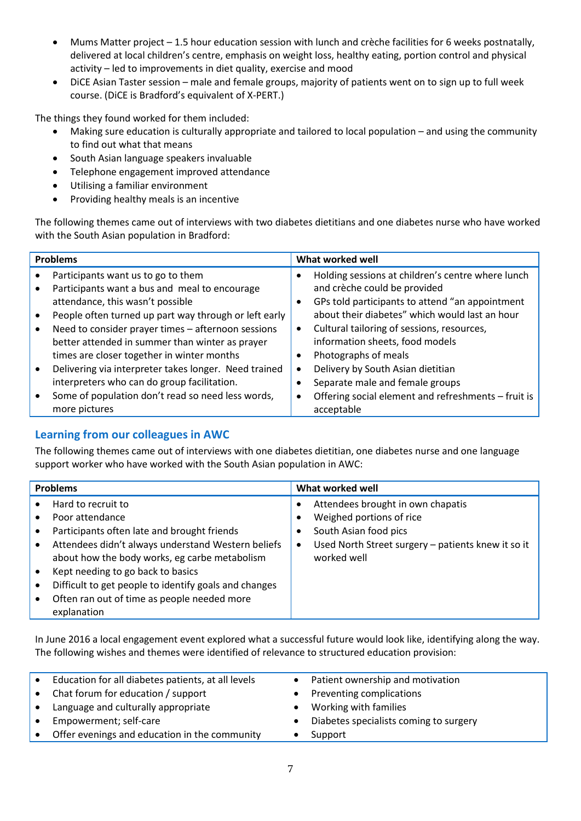- Mums Matter project 1.5 hour education session with lunch and crèche facilities for 6 weeks postnatally, delivered at local children's centre, emphasis on weight loss, healthy eating, portion control and physical activity – led to improvements in diet quality, exercise and mood
- DiCE Asian Taster session male and female groups, majority of patients went on to sign up to full week course. (DiCE is Bradford's equivalent of X-PERT.)

The things they found worked for them included:

- Making sure education is culturally appropriate and tailored to local population and using the community to find out what that means
- South Asian language speakers invaluable
- Telephone engagement improved attendance
- Utilising a familiar environment
- Providing healthy meals is an incentive

The following themes came out of interviews with two diabetes dietitians and one diabetes nurse who have worked with the South Asian population in Bradford:

| <b>Problems</b>                                       | What worked well                                        |  |
|-------------------------------------------------------|---------------------------------------------------------|--|
| Participants want us to go to them                    | Holding sessions at children's centre where lunch       |  |
| Participants want a bus and meal to encourage         | and crèche could be provided                            |  |
| attendance, this wasn't possible                      | GPs told participants to attend "an appointment<br>٠    |  |
| People often turned up part way through or left early | about their diabetes" which would last an hour          |  |
| Need to consider prayer times - afternoon sessions    | Cultural tailoring of sessions, resources,<br>$\bullet$ |  |
| better attended in summer than winter as prayer       | information sheets, food models                         |  |
| times are closer together in winter months            | Photographs of meals                                    |  |
| Delivering via interpreter takes longer. Need trained | Delivery by South Asian dietitian<br>$\bullet$          |  |
| interpreters who can do group facilitation.           | Separate male and female groups                         |  |
| Some of population don't read so need less words,     | Offering social element and refreshments - fruit is     |  |
| more pictures                                         | acceptable                                              |  |

# <span id="page-8-0"></span>**Learning from our colleagues in AWC**

The following themes came out of interviews with one diabetes dietitian, one diabetes nurse and one language support worker who have worked with the South Asian population in AWC:

| <b>Problems</b>                                                                                                                                                                                                                                                                                                                                         | What worked well                                                                                                                                                         |
|---------------------------------------------------------------------------------------------------------------------------------------------------------------------------------------------------------------------------------------------------------------------------------------------------------------------------------------------------------|--------------------------------------------------------------------------------------------------------------------------------------------------------------------------|
| Hard to recruit to<br>Poor attendance<br>Participants often late and brought friends<br>Attendees didn't always understand Western beliefs<br>about how the body works, eg carbe metabolism<br>Kept needing to go back to basics<br>Difficult to get people to identify goals and changes<br>Often ran out of time as people needed more<br>explanation | Attendees brought in own chapatis<br>Weighed portions of rice<br>South Asian food pics<br>Used North Street surgery - patients knew it so it<br>$\bullet$<br>worked well |

In June 2016 a local engagement event explored what a successful future would look like, identifying along the way. The following wishes and themes were identified of relevance to structured education provision:

| $\bullet$ | Education for all diabetes patients, at all levels | Patient ownership and motivation       |
|-----------|----------------------------------------------------|----------------------------------------|
| $\bullet$ | Chat forum for education / support                 | Preventing complications               |
| $\bullet$ | Language and culturally appropriate                | Working with families                  |
| $\bullet$ | Empowerment; self-care                             | Diabetes specialists coming to surgery |
| $\bullet$ | Offer evenings and education in the community      | Support                                |
|           |                                                    |                                        |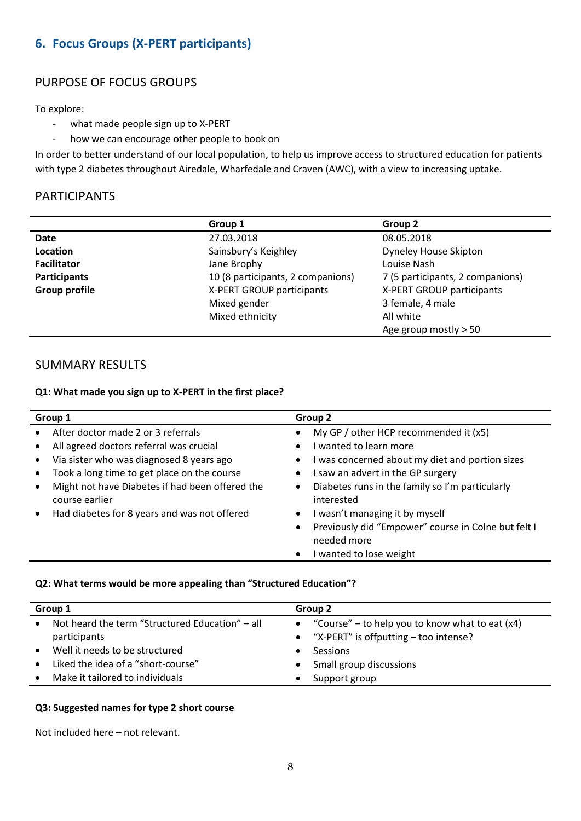# <span id="page-9-0"></span>**6. Focus Groups (X-PERT participants)**

# PURPOSE OF FOCUS GROUPS

To explore:

- what made people sign up to X-PERT
- how we can encourage other people to book on

In order to better understand of our local population, to help us improve access to structured education for patients with type 2 diabetes throughout Airedale, Wharfedale and Craven (AWC), with a view to increasing uptake.

# PARTICIPANTS

|                      | Group 1                           | Group 2                          |
|----------------------|-----------------------------------|----------------------------------|
| Date                 | 27.03.2018                        | 08.05.2018                       |
| Location             | Sainsbury's Keighley              | Dyneley House Skipton            |
| <b>Facilitator</b>   | Jane Brophy                       | Louise Nash                      |
| Participants         | 10 (8 participants, 2 companions) | 7 (5 participants, 2 companions) |
| <b>Group profile</b> | X-PERT GROUP participants         | X-PERT GROUP participants        |
|                      | Mixed gender                      | 3 female, 4 male                 |
|                      | Mixed ethnicity                   | All white                        |
|                      |                                   | Age group mostly $> 50$          |

# SUMMARY RESULTS

#### **Q1: What made you sign up to X-PERT in the first place?**

| After doctor made 2 or 3 referrals                                                                                                                                                                                                                      | My GP / other HCP recommended it (x5)<br>I wanted to learn more                                                                                                                                                                                                                       |
|---------------------------------------------------------------------------------------------------------------------------------------------------------------------------------------------------------------------------------------------------------|---------------------------------------------------------------------------------------------------------------------------------------------------------------------------------------------------------------------------------------------------------------------------------------|
| All agreed doctors referral was crucial<br>Via sister who was diagnosed 8 years ago<br>Took a long time to get place on the course<br>Might not have Diabetes if had been offered the<br>course earlier<br>Had diabetes for 8 years and was not offered | I was concerned about my diet and portion sizes<br>I saw an advert in the GP surgery<br>Diabetes runs in the family so I'm particularly<br>$\bullet$<br>interested<br>I wasn't managing it by myself<br>$\bullet$<br>Previously did "Empower" course in Colne but felt I<br>$\bullet$ |
|                                                                                                                                                                                                                                                         | needed more<br>I wanted to lose weight                                                                                                                                                                                                                                                |

#### **Q2: What terms would be more appealing than "Structured Education"?**

| Group 1   |                                                                 | Group 2 |                                                                                                |
|-----------|-----------------------------------------------------------------|---------|------------------------------------------------------------------------------------------------|
| $\bullet$ | Not heard the term "Structured Education" – all<br>participants |         | • "Course" – to help you to know what to eat $(x4)$<br>• "X-PERT" is offputting – too intense? |
| $\bullet$ | Well it needs to be structured                                  |         | Sessions                                                                                       |
|           | Liked the idea of a "short-course"                              |         | Small group discussions                                                                        |
|           | Make it tailored to individuals                                 |         | Support group                                                                                  |

#### **Q3: Suggested names for type 2 short course**

Not included here – not relevant.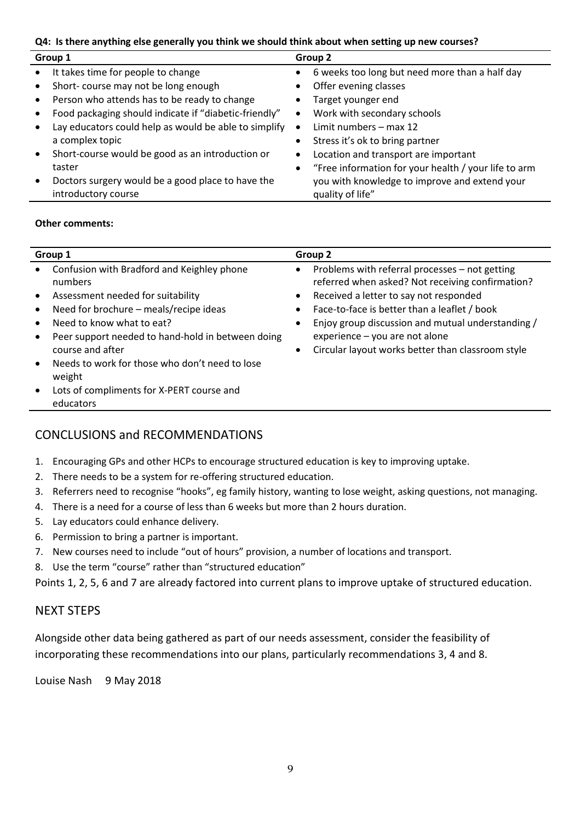#### **Q4: Is there anything else generally you think we should think about when setting up new courses?**

| Group 1 |                                                                          | Group 2   |                                                                   |
|---------|--------------------------------------------------------------------------|-----------|-------------------------------------------------------------------|
|         | It takes time for people to change                                       |           | 6 weeks too long but need more than a half day                    |
|         | Short-course may not be long enough                                      |           | Offer evening classes                                             |
|         | Person who attends has to be ready to change                             |           | Target younger end                                                |
|         | Food packaging should indicate if "diabetic-friendly"                    | ٠         | Work with secondary schools                                       |
|         | Lay educators could help as would be able to simplify                    | $\bullet$ | Limit numbers $-$ max 12                                          |
|         | a complex topic                                                          |           | Stress it's ok to bring partner                                   |
|         | Short-course would be good as an introduction or                         | ٠         | Location and transport are important                              |
|         | taster                                                                   | ٠         | "Free information for your health / your life to arm              |
|         | Doctors surgery would be a good place to have the<br>introductory course |           | you with knowledge to improve and extend your<br>quality of life" |

#### **Other comments:**

| Group 1                                                                                                                                                                                                                                                                                                                                                                                                                                                     | Group 2                                                                                                                                                                                                                                                                                                                                                 |  |  |
|-------------------------------------------------------------------------------------------------------------------------------------------------------------------------------------------------------------------------------------------------------------------------------------------------------------------------------------------------------------------------------------------------------------------------------------------------------------|---------------------------------------------------------------------------------------------------------------------------------------------------------------------------------------------------------------------------------------------------------------------------------------------------------------------------------------------------------|--|--|
| Confusion with Bradford and Keighley phone<br>$\bullet$<br>numbers<br>Assessment needed for suitability<br>$\bullet$<br>Need for brochure - meals/recipe ideas<br>$\bullet$<br>Need to know what to eat?<br>$\bullet$<br>Peer support needed to hand-hold in between doing<br>$\bullet$<br>course and after<br>Needs to work for those who don't need to lose<br>$\bullet$<br>weight<br>Lots of compliments for X-PERT course and<br>$\bullet$<br>educators | Problems with referral processes - not getting<br>$\bullet$<br>referred when asked? Not receiving confirmation?<br>Received a letter to say not responded<br>Face-to-face is better than a leaflet / book<br>Enjoy group discussion and mutual understanding /<br>$experience - you are not alone$<br>Circular layout works better than classroom style |  |  |
|                                                                                                                                                                                                                                                                                                                                                                                                                                                             |                                                                                                                                                                                                                                                                                                                                                         |  |  |

#### CONCLUSIONS and RECOMMENDATIONS

- 1. Encouraging GPs and other HCPs to encourage structured education is key to improving uptake.
- 2. There needs to be a system for re-offering structured education.
- 3. Referrers need to recognise "hooks", eg family history, wanting to lose weight, asking questions, not managing.
- 4. There is a need for a course of less than 6 weeks but more than 2 hours duration.
- 5. Lay educators could enhance delivery.
- 6. Permission to bring a partner is important.
- 7. New courses need to include "out of hours" provision, a number of locations and transport.
- 8. Use the term "course" rather than "structured education"

Points 1, 2, 5, 6 and 7 are already factored into current plans to improve uptake of structured education.

#### NEXT STEPS

Alongside other data being gathered as part of our needs assessment, consider the feasibility of incorporating these recommendations into our plans, particularly recommendations 3, 4 and 8.

Louise Nash 9 May 2018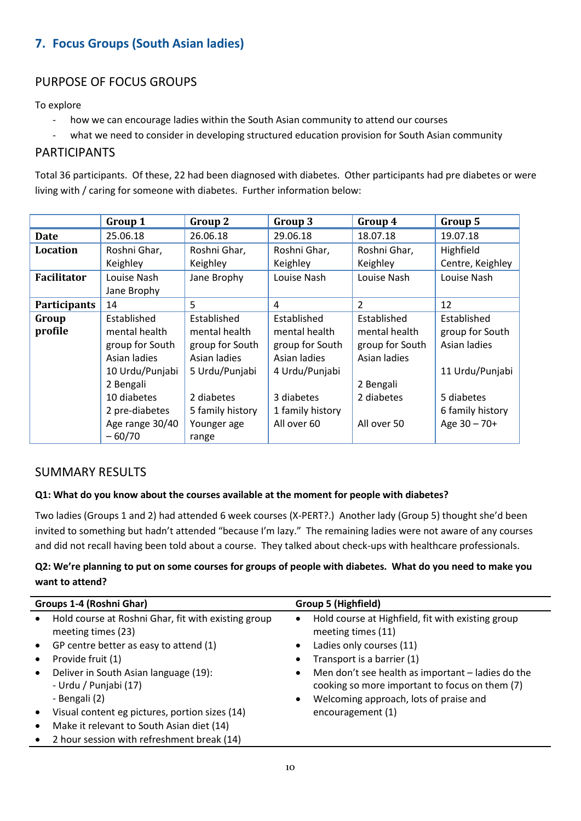# <span id="page-11-0"></span>**7. Focus Groups (South Asian ladies)**

# PURPOSE OF FOCUS GROUPS

To explore

- how we can encourage ladies within the South Asian community to attend our courses
- what we need to consider in developing structured education provision for South Asian community

# PARTICIPANTS

Total 36 participants. Of these, 22 had been diagnosed with diabetes. Other participants had pre diabetes or were living with / caring for someone with diabetes. Further information below:

|                     | Group 1         | Group 2          | Group 3          | Group 4         | Group 5          |
|---------------------|-----------------|------------------|------------------|-----------------|------------------|
| Date                | 25.06.18        | 26.06.18         | 29.06.18         | 18.07.18        | 19.07.18         |
| <b>Location</b>     | Roshni Ghar,    | Roshni Ghar,     | Roshni Ghar,     | Roshni Ghar,    | Highfield        |
|                     | Keighley        | Keighley         | Keighley         | Keighley        | Centre, Keighley |
| <b>Facilitator</b>  | Louise Nash     | Jane Brophy      | Louise Nash      | Louise Nash     | Louise Nash      |
|                     | Jane Brophy     |                  |                  |                 |                  |
| <b>Participants</b> | 14              | 5                | 4                | 2               | 12               |
| Group               | Established     | Established      | Established      | Established     | Established      |
| profile             | mental health   | mental health    | mental health    | mental health   | group for South  |
|                     | group for South | group for South  | group for South  | group for South | Asian ladies     |
|                     | Asian ladies    | Asian ladies     | Asian ladies     | Asian ladies    |                  |
|                     | 10 Urdu/Punjabi | 5 Urdu/Punjabi   | 4 Urdu/Punjabi   |                 | 11 Urdu/Punjabi  |
|                     | 2 Bengali       |                  |                  | 2 Bengali       |                  |
|                     | 10 diabetes     | 2 diabetes       | 3 diabetes       | 2 diabetes      | 5 diabetes       |
|                     | 2 pre-diabetes  | 5 family history | 1 family history |                 | 6 family history |
|                     | Age range 30/40 | Younger age      | All over 60      | All over 50     | Age $30 - 70+$   |
|                     | $-60/70$        | range            |                  |                 |                  |

#### SUMMARY RESULTS

#### **Q1: What do you know about the courses available at the moment for people with diabetes?**

Two ladies (Groups 1 and 2) had attended 6 week courses (X-PERT?.) Another lady (Group 5) thought she'd been invited to something but hadn't attended "because I'm lazy." The remaining ladies were not aware of any courses and did not recall having been told about a course. They talked about check-ups with healthcare professionals.

#### **Q2: We're planning to put on some courses for groups of people with diabetes. What do you need to make you want to attend?**

| Groups 1-4 (Roshni Ghar) |                                                                                 | <b>Group 5 (Highfield)</b> |                                                                                                                                               |  |
|--------------------------|---------------------------------------------------------------------------------|----------------------------|-----------------------------------------------------------------------------------------------------------------------------------------------|--|
| $\bullet$                | Hold course at Roshni Ghar, fit with existing group<br>meeting times (23)       | $\bullet$                  | Hold course at Highfield, fit with existing group<br>meeting times (11)                                                                       |  |
|                          | GP centre better as easy to attend (1)                                          | $\bullet$                  | Ladies only courses (11)                                                                                                                      |  |
|                          | Provide fruit (1)                                                               |                            | Transport is a barrier (1)                                                                                                                    |  |
| $\bullet$                | Deliver in South Asian language (19):<br>- Urdu / Punjabi (17)<br>- Bengali (2) | ٠<br>$\bullet$             | Men don't see health as important – ladies do the<br>cooking so more important to focus on them (7)<br>Welcoming approach, lots of praise and |  |
|                          | Visual content eg pictures, portion sizes (14)                                  |                            | encouragement (1)                                                                                                                             |  |
|                          | Make it relevant to South Asian diet (14)                                       |                            |                                                                                                                                               |  |
|                          | 2 hour session with refreshment break (14)                                      |                            |                                                                                                                                               |  |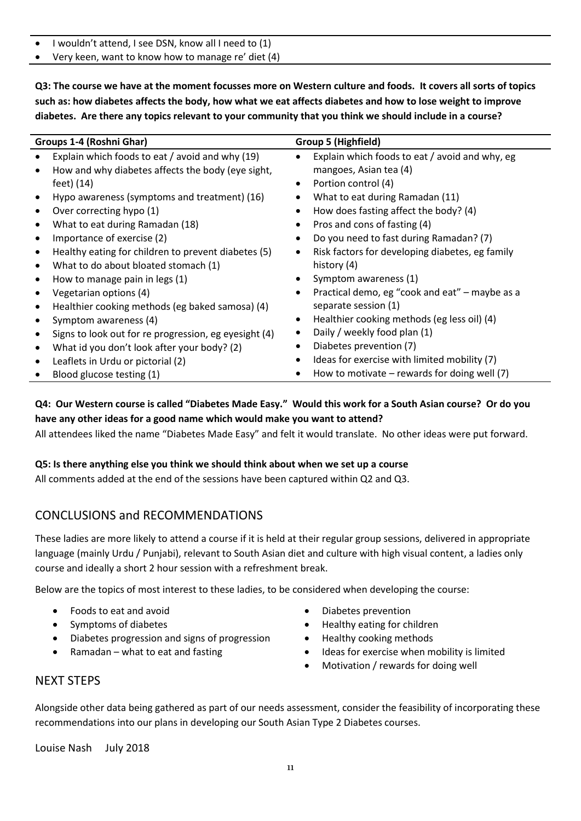- I wouldn't attend, I see DSN, know all I need to (1)
- Very keen, want to know how to manage re' diet (4)

**Q3: The course we have at the moment focusses more on Western culture and foods. It covers all sorts of topics such as: how diabetes affects the body, how what we eat affects diabetes and how to lose weight to improve diabetes. Are there any topics relevant to your community that you think we should include in a course?**

|           | Groups 1-4 (Roshni Ghar)<br>Group 5 (Highfield)       |           |                                                 |
|-----------|-------------------------------------------------------|-----------|-------------------------------------------------|
| $\bullet$ | Explain which foods to eat / avoid and why (19)       | $\bullet$ | Explain which foods to eat / avoid and why, eg  |
| $\bullet$ | How and why diabetes affects the body (eye sight,     |           | mangoes, Asian tea (4)                          |
|           | feet) (14)                                            | ٠         | Portion control (4)                             |
| $\bullet$ | Hypo awareness (symptoms and treatment) (16)          |           | What to eat during Ramadan (11)                 |
| $\bullet$ | Over correcting hypo (1)                              |           | How does fasting affect the body? (4)           |
| $\bullet$ | What to eat during Ramadan (18)                       | ٠         | Pros and cons of fasting (4)                    |
| $\bullet$ | Importance of exercise (2)                            | ٠         | Do you need to fast during Ramadan? (7)         |
| $\bullet$ | Healthy eating for children to prevent diabetes (5)   | $\bullet$ | Risk factors for developing diabetes, eg family |
| $\bullet$ | What to do about bloated stomach (1)                  |           | history (4)                                     |
| $\bullet$ | How to manage pain in legs (1)                        |           | Symptom awareness (1)                           |
| $\bullet$ | Vegetarian options (4)                                | $\bullet$ | Practical demo, eg "cook and eat" – maybe as a  |
| $\bullet$ | Healthier cooking methods (eg baked samosa) (4)       |           | separate session (1)                            |
| $\bullet$ | Symptom awareness (4)                                 | ٠         | Healthier cooking methods (eg less oil) (4)     |
| $\bullet$ | Signs to look out for re progression, eg eyesight (4) | ٠         | Daily / weekly food plan (1)                    |
| $\bullet$ | What id you don't look after your body? (2)           |           | Diabetes prevention (7)                         |
| $\bullet$ | Leaflets in Urdu or pictorial (2)                     |           | Ideas for exercise with limited mobility (7)    |
|           | Blood glucose testing (1)                             |           | How to motivate $-$ rewards for doing well (7)  |

**Q4: Our Western course is called "Diabetes Made Easy." Would this work for a South Asian course? Or do you have any other ideas for a good name which would make you want to attend?**

All attendees liked the name "Diabetes Made Easy" and felt it would translate. No other ideas were put forward.

#### **Q5: Is there anything else you think we should think about when we set up a course**

All comments added at the end of the sessions have been captured within Q2 and Q3.

# CONCLUSIONS and RECOMMENDATIONS

These ladies are more likely to attend a course if it is held at their regular group sessions, delivered in appropriate language (mainly Urdu / Punjabi), relevant to South Asian diet and culture with high visual content, a ladies only course and ideally a short 2 hour session with a refreshment break.

Below are the topics of most interest to these ladies, to be considered when developing the course:

- Foods to eat and avoid
- Symptoms of diabetes
- Diabetes progression and signs of progression
- Ramadan what to eat and fasting
- Diabetes prevention
- Healthy eating for children
- Healthy cooking methods
- Ideas for exercise when mobility is limited
- Motivation / rewards for doing well

#### NEXT STEPS

Alongside other data being gathered as part of our needs assessment, consider the feasibility of incorporating these recommendations into our plans in developing our South Asian Type 2 Diabetes courses.

Louise Nash July 2018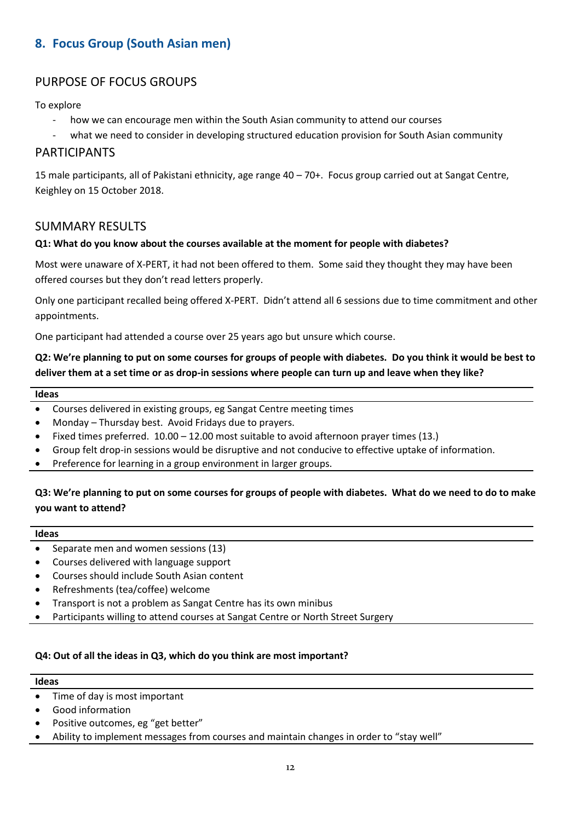# <span id="page-13-0"></span>**8. Focus Group (South Asian men)**

# PURPOSE OF FOCUS GROUPS

To explore

- how we can encourage men within the South Asian community to attend our courses
- what we need to consider in developing structured education provision for South Asian community

# PARTICIPANTS

15 male participants, all of Pakistani ethnicity, age range 40 – 70+. Focus group carried out at Sangat Centre, Keighley on 15 October 2018.

#### SUMMARY RESULTS

#### **Q1: What do you know about the courses available at the moment for people with diabetes?**

Most were unaware of X-PERT, it had not been offered to them. Some said they thought they may have been offered courses but they don't read letters properly.

Only one participant recalled being offered X-PERT. Didn't attend all 6 sessions due to time commitment and other appointments.

One participant had attended a course over 25 years ago but unsure which course.

**Q2: We're planning to put on some courses for groups of people with diabetes. Do you think it would be best to deliver them at a set time or as drop-in sessions where people can turn up and leave when they like?**

#### **Ideas**

- Courses delivered in existing groups, eg Sangat Centre meeting times
- Monday Thursday best. Avoid Fridays due to prayers.
- Fixed times preferred. 10.00 12.00 most suitable to avoid afternoon prayer times (13.)
- Group felt drop-in sessions would be disruptive and not conducive to effective uptake of information.
- Preference for learning in a group environment in larger groups.

#### **Q3: We're planning to put on some courses for groups of people with diabetes. What do we need to do to make you want to attend?**

#### **Ideas**

- Separate men and women sessions (13)
- Courses delivered with language support
- Courses should include South Asian content
- Refreshments (tea/coffee) welcome
- Transport is not a problem as Sangat Centre has its own minibus
- Participants willing to attend courses at Sangat Centre or North Street Surgery

#### **Q4: Out of all the ideas in Q3, which do you think are most important?**

#### **Ideas**

- Time of day is most important
- Good information
- Positive outcomes, eg "get better"
- Ability to implement messages from courses and maintain changes in order to "stay well"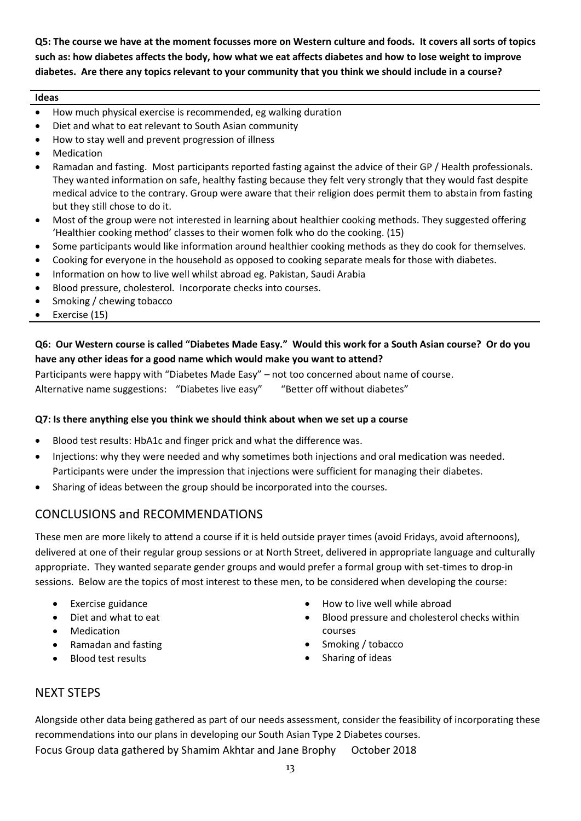**Q5: The course we have at the moment focusses more on Western culture and foods. It covers all sorts of topics such as: how diabetes affects the body, how what we eat affects diabetes and how to lose weight to improve diabetes. Are there any topics relevant to your community that you think we should include in a course?**

#### **Ideas**

- How much physical exercise is recommended, eg walking duration
- Diet and what to eat relevant to South Asian community
- How to stay well and prevent progression of illness
- Medication
- Ramadan and fasting. Most participants reported fasting against the advice of their GP / Health professionals. They wanted information on safe, healthy fasting because they felt very strongly that they would fast despite medical advice to the contrary. Group were aware that their religion does permit them to abstain from fasting but they still chose to do it.
- Most of the group were not interested in learning about healthier cooking methods. They suggested offering 'Healthier cooking method' classes to their women folk who do the cooking. (15)
- Some participants would like information around healthier cooking methods as they do cook for themselves.
- Cooking for everyone in the household as opposed to cooking separate meals for those with diabetes.
- Information on how to live well whilst abroad eg. Pakistan, Saudi Arabia
- Blood pressure, cholesterol. Incorporate checks into courses.
- Smoking / chewing tobacco
- Exercise (15)

#### **Q6: Our Western course is called "Diabetes Made Easy." Would this work for a South Asian course? Or do you have any other ideas for a good name which would make you want to attend?**

Participants were happy with "Diabetes Made Easy" – not too concerned about name of course. Alternative name suggestions: "Diabetes live easy" "Better off without diabetes"

#### **Q7: Is there anything else you think we should think about when we set up a course**

- Blood test results: HbA1c and finger prick and what the difference was.
- Injections: why they were needed and why sometimes both injections and oral medication was needed. Participants were under the impression that injections were sufficient for managing their diabetes.
- Sharing of ideas between the group should be incorporated into the courses.

# CONCLUSIONS and RECOMMENDATIONS

These men are more likely to attend a course if it is held outside prayer times (avoid Fridays, avoid afternoons), delivered at one of their regular group sessions or at North Street, delivered in appropriate language and culturally appropriate. They wanted separate gender groups and would prefer a formal group with set-times to drop-in sessions. Below are the topics of most interest to these men, to be considered when developing the course:

- Exercise guidance
- Diet and what to eat
- Medication
- Ramadan and fasting
- Blood test results
- How to live well while abroad
- Blood pressure and cholesterol checks within courses
- Smoking / tobacco
- Sharing of ideas

#### NEXT STEPS

Alongside other data being gathered as part of our needs assessment, consider the feasibility of incorporating these recommendations into our plans in developing our South Asian Type 2 Diabetes courses. Focus Group data gathered by Shamim Akhtar and Jane Brophy October 2018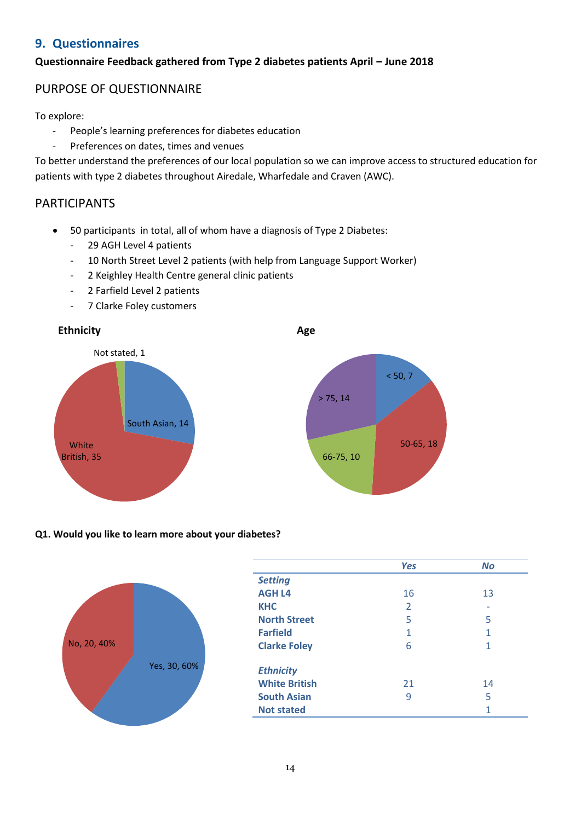# <span id="page-15-0"></span>**9. Questionnaires**

# **Questionnaire Feedback gathered from Type 2 diabetes patients April – June 2018**

# PURPOSE OF QUESTIONNAIRE

To explore:

- People's learning preferences for diabetes education
- Preferences on dates, times and venues

To better understand the preferences of our local population so we can improve access to structured education for patients with type 2 diabetes throughout Airedale, Wharfedale and Craven (AWC).

# PARTICIPANTS

- 50 participants in total, all of whom have a diagnosis of Type 2 Diabetes:
	- 29 AGH Level 4 patients
	- 10 North Street Level 2 patients (with help from Language Support Worker)
	- 2 Keighley Health Centre general clinic patients
	- 2 Farfield Level 2 patients
	- 7 Clarke Foley customers



#### **Q1. Would you like to learn more about your diabetes?**



|                      | <b>Yes</b> | <b>No</b> |
|----------------------|------------|-----------|
| <b>Setting</b>       |            |           |
| <b>AGH L4</b>        | 16         | 13        |
| <b>KHC</b>           | 2          |           |
| <b>North Street</b>  | 5          | 5         |
| <b>Farfield</b>      | 1          | 1         |
| <b>Clarke Foley</b>  | 6          | 1         |
| <b>Ethnicity</b>     |            |           |
| <b>White British</b> | 21         | 14        |
| <b>South Asian</b>   | ٩          | 5         |
| <b>Not stated</b>    |            | 1         |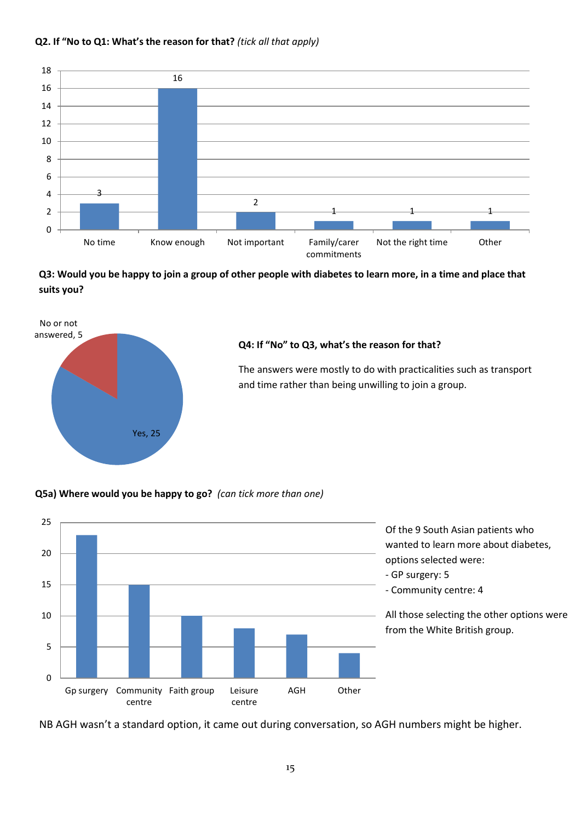#### **Q2. If "No to Q1: What's the reason for that?** *(tick all that apply)*



**Q3: Would you be happy to join a group of other people with diabetes to learn more, in a time and place that suits you?**



#### **Q4: If "No" to Q3, what's the reason for that?**

The answers were mostly to do with practicalities such as transport and time rather than being unwilling to join a group.

#### **Q5a) Where would you be happy to go?** *(can tick more than one)*



NB AGH wasn't a standard option, it came out during conversation, so AGH numbers might be higher.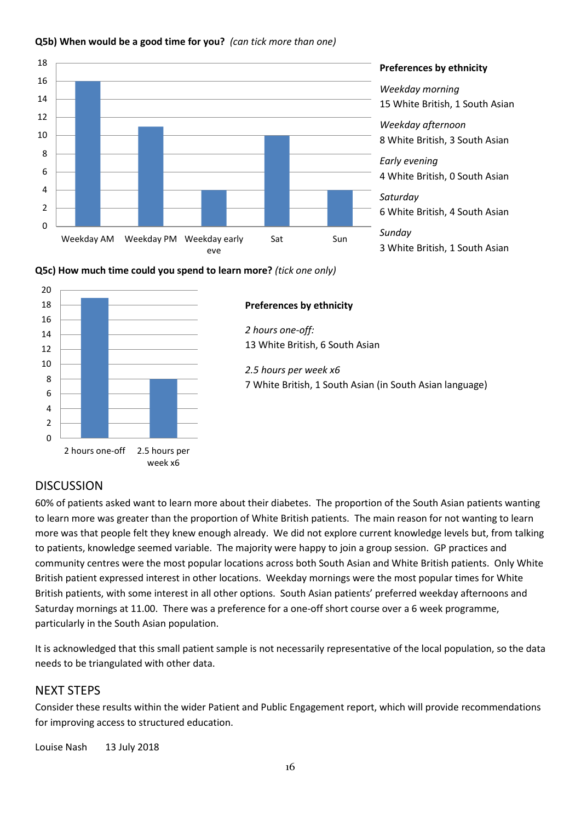

#### **Q5b) When would be a good time for you?** *(can tick more than one)*

#### **Preferences by ethnicity**

*Weekday morning* 15 White British, 1 South Asian *Weekday afternoon* 8 White British, 3 South Asian *Early evening* 4 White British, 0 South Asian *Saturday* 6 White British, 4 South Asian *Sunday*

3 White British, 1 South Asian





# **DISCUSSION**

60% of patients asked want to learn more about their diabetes. The proportion of the South Asian patients wanting to learn more was greater than the proportion of White British patients. The main reason for not wanting to learn more was that people felt they knew enough already. We did not explore current knowledge levels but, from talking to patients, knowledge seemed variable. The majority were happy to join a group session. GP practices and community centres were the most popular locations across both South Asian and White British patients. Only White British patient expressed interest in other locations. Weekday mornings were the most popular times for White British patients, with some interest in all other options. South Asian patients' preferred weekday afternoons and Saturday mornings at 11.00. There was a preference for a one-off short course over a 6 week programme, particularly in the South Asian population.

It is acknowledged that this small patient sample is not necessarily representative of the local population, so the data needs to be triangulated with other data.

# NEXT STEPS

Consider these results within the wider Patient and Public Engagement report, which will provide recommendations for improving access to structured education.

Louise Nash 13 July 2018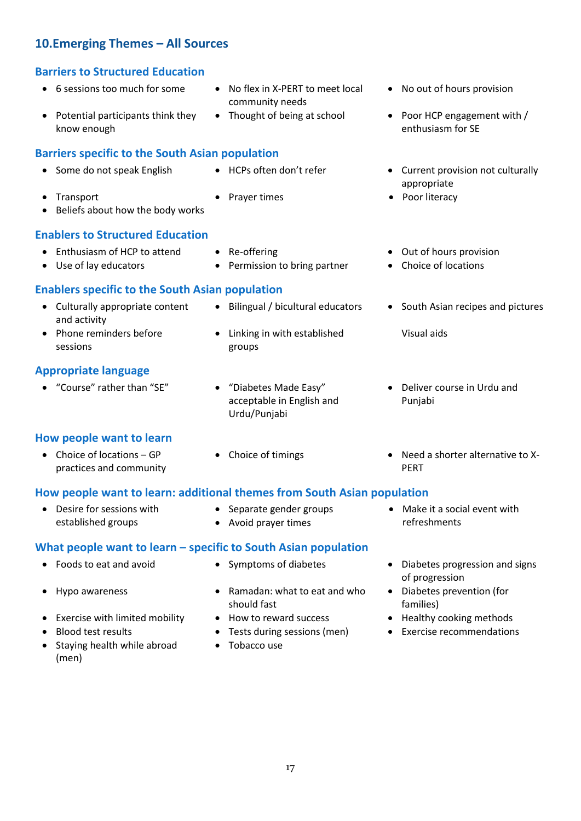# <span id="page-18-0"></span>**10.Emerging Themes – All Sources**

# <span id="page-18-1"></span>**Barriers to Structured Education**

- 6 sessions too much for some No flex in X-PERT to meet local
- Potential participants think they know enough

# <span id="page-18-2"></span>**Barriers specific to the South Asian population**

- 
- 
- Beliefs about how the body works

# <span id="page-18-3"></span>**Enablers to Structured Education**

- Enthusiasm of HCP to attend Re-offering **CEP 10** Out of hours provision
- 
- 

groups

• Use of lay educators • Permission to bring partner • Choice of locations

• Linking in with established

community needs

# <span id="page-18-4"></span>**Enablers specific to the South Asian population**

- Culturally appropriate content and activity
- Phone reminders before sessions

# <span id="page-18-5"></span>**Appropriate language**

"Course" rather than "SE" "Diabetes Made Easy"

# <span id="page-18-6"></span>**How people want to learn**

- Choice of locations GP practices and community
- Urdu/Punjabi

acceptable in English and

- No out of hours provision
- Thought of being at school Poor HCP engagement with / enthusiasm for SE
- Some do not speak English HCPs often don't refer Current provision not culturally appropriate
- Transport Prayer times Poor literacy
	-
	-

Visual aids

• Bilingual / bicultural educators • South Asian recipes and pictures

- Deliver course in Urdu and Punjabi
- Choice of timings **and Series Choice of timings Need a shorter alternative to X-**PERT

# <span id="page-18-7"></span>**How people want to learn: additional themes from South Asian population**

<span id="page-18-8"></span>**What people want to learn – specific to South Asian population**

- Desire for sessions with established groups
- Separate gender groups Avoid prayer times
- Make it a social event with refreshments

- 
- 
- 
- Exercise with limited mobility How to reward success Healthy cooking methods
- 
- Staying health while abroad (men)
- 
- Hypo awareness **•** Ramadan: what to eat and who should fast
	-
	-
	- Tobacco use
- Foods to eat and avoid Symptoms of diabetes Diabetes progression and signs of progression
	- Diabetes prevention (for families)
	-
- Blood test results Tests during sessions (men) Exercise recommendations

17